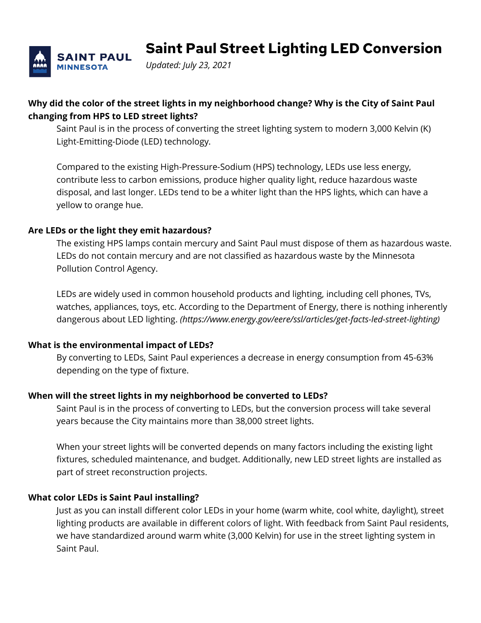

**Saint Paul Street Lighting LED Conversion**

*Updated: July 23, 2021*

# **Why did the color of the street lights in my neighborhood change? Why is the City of Saint Paul changing from HPS to LED street lights?**

Saint Paul is in the process of converting the street lighting system to modern 3,000 Kelvin (K) Light-Emitting-Diode (LED) technology.

Compared to the existing High-Pressure-Sodium (HPS) technology, LEDs use less energy, contribute less to carbon emissions, produce higher quality light, reduce hazardous waste disposal, and last longer. LEDs tend to be a whiter light than the HPS lights, which can have a yellow to orange hue.

## **Are LEDs or the light they emit hazardous?**

The existing HPS lamps contain mercury and Saint Paul must dispose of them as hazardous waste. LEDs do not contain mercury and are not classified as hazardous waste by the Minnesota Pollution Control Agency.

LEDs are widely used in common household products and lighting, including cell phones, TVs, watches, appliances, toys, etc. According to the Department of Energy, there is nothing inherently dangerous about LED lighting. *(https://www.energy.gov/eere/ssl/articles/get-facts-led-street-lighting)*

### **What is the environmental impact of LEDs?**

By converting to LEDs, Saint Paul experiences a decrease in energy consumption from 45-63% depending on the type of fixture.

### **When will the street lights in my neighborhood be converted to LEDs?**

Saint Paul is in the process of converting to LEDs, but the conversion process will take several years because the City maintains more than 38,000 street lights.

When your street lights will be converted depends on many factors including the existing light fixtures, scheduled maintenance, and budget. Additionally, new LED street lights are installed as part of street reconstruction projects.

### **What color LEDs is Saint Paul installing?**

Just as you can install different color LEDs in your home (warm white, cool white, daylight), street lighting products are available in different colors of light. With feedback from Saint Paul residents, we have standardized around warm white (3,000 Kelvin) for use in the street lighting system in Saint Paul.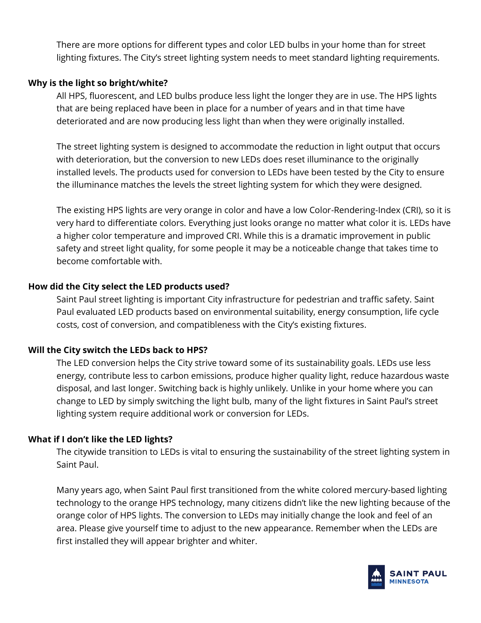There are more options for different types and color LED bulbs in your home than for street lighting fixtures. The City's street lighting system needs to meet standard lighting requirements.

### **Why is the light so bright/white?**

All HPS, fluorescent, and LED bulbs produce less light the longer they are in use. The HPS lights that are being replaced have been in place for a number of years and in that time have deteriorated and are now producing less light than when they were originally installed.

The street lighting system is designed to accommodate the reduction in light output that occurs with deterioration, but the conversion to new LEDs does reset illuminance to the originally installed levels. The products used for conversion to LEDs have been tested by the City to ensure the illuminance matches the levels the street lighting system for which they were designed.

The existing HPS lights are very orange in color and have a low Color-Rendering-Index (CRI), so it is very hard to differentiate colors. Everything just looks orange no matter what color it is. LEDs have a higher color temperature and improved CRI. While this is a dramatic improvement in public safety and street light quality, for some people it may be a noticeable change that takes time to become comfortable with.

### **How did the City select the LED products used?**

Saint Paul street lighting is important City infrastructure for pedestrian and traffic safety. Saint Paul evaluated LED products based on environmental suitability, energy consumption, life cycle costs, cost of conversion, and compatibleness with the City's existing fixtures.

### **Will the City switch the LEDs back to HPS?**

The LED conversion helps the City strive toward some of its sustainability goals. LEDs use less energy, contribute less to carbon emissions, produce higher quality light, reduce hazardous waste disposal, and last longer. Switching back is highly unlikely. Unlike in your home where you can change to LED by simply switching the light bulb, many of the light fixtures in Saint Paul's street lighting system require additional work or conversion for LEDs.

### **What if I don't like the LED lights?**

The citywide transition to LEDs is vital to ensuring the sustainability of the street lighting system in Saint Paul.

Many years ago, when Saint Paul first transitioned from the white colored mercury-based lighting technology to the orange HPS technology, many citizens didn't like the new lighting because of the orange color of HPS lights. The conversion to LEDs may initially change the look and feel of an area. Please give yourself time to adjust to the new appearance. Remember when the LEDs are first installed they will appear brighter and whiter.